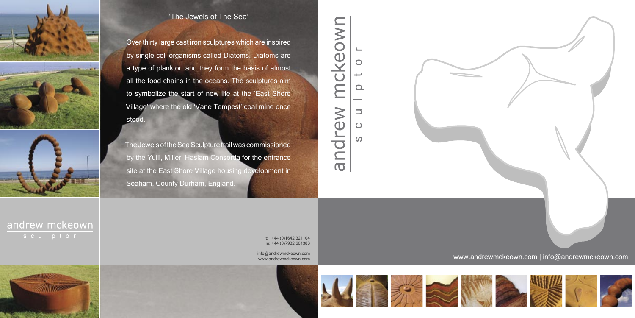## www.andrewmckeown.com | info@andrewmckeown.com











t: +44 (0)1642 321104 m: +44 (0)7932 601383

info@andrewmckeown.com www.andrewmckeown.com









## 'The Jewels of The Sea'

Over thirty large cast iron sculptures which are inspired by single cell organisms called Diatoms. Diatoms are a type of plankton and they form the basis of almost all the food chains in the oceans. The sculptures aim to symbolize the start of new life at the 'East Shore Village' where the old 'Vane Tempest' coal mine once stood.

The Jewels of the Sea Sculpture trail was commissioned by the Yuill, Miller, Haslam Consortia for the entrance site at the East Shore Village housing development in Seaham, County Durham, England.

## mckeown  $\bigcirc$  $\Omega$ andrew  $\overline{\phantom{0}}$  $\bigcirc$  $\Omega$



andrew mckeown